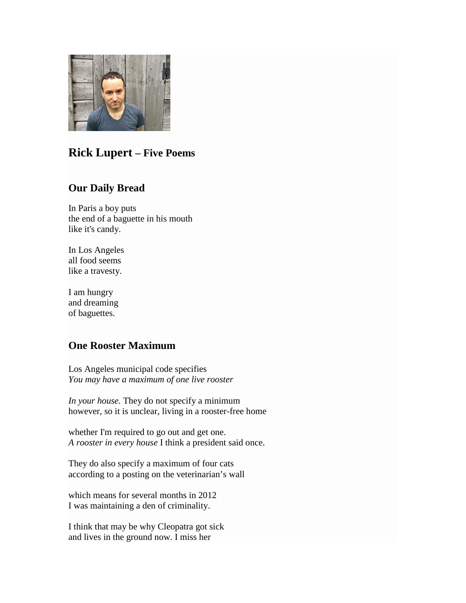

# **Rick Lupert – Five Poems**

### **Our Daily Bread**

In Paris a boy puts the end of a baguette in his mouth like it's candy.

In Los Angeles all food seems like a travesty.

I am hungry and dreaming of baguettes.

## **One Rooster Maximum**

Los Angeles municipal code specifies *You may have a maximum of one live rooster*

*In your house.* They do not specify a minimum however, so it is unclear, living in a rooster-free home

whether I'm required to go out and get one. *A rooster in every house* I think a president said once.

They do also specify a maximum of four cats according to a posting on the veterinarian's wall

which means for several months in 2012 I was maintaining a den of criminality.

I think that may be why Cleopatra got sick and lives in the ground now. I miss her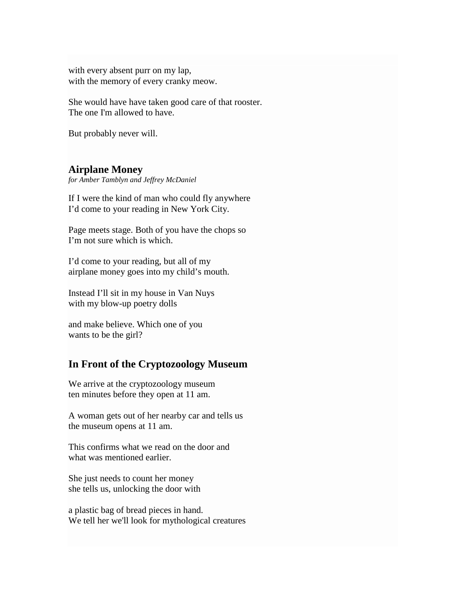with every absent purr on my lap, with the memory of every cranky meow.

She would have have taken good care of that rooster. The one I'm allowed to have.

But probably never will.

#### **Airplane Money**

*for Amber Tamblyn and Jeffrey McDaniel*

If I were the kind of man who could fly anywhere I'd come to your reading in New York City.

Page meets stage. Both of you have the chops so I'm not sure which is which.

I'd come to your reading, but all of my airplane money goes into my child's mouth.

Instead I'll sit in my house in Van Nuys with my blow-up poetry dolls

and make believe. Which one of you wants to be the girl?

#### **In Front of the Cryptozoology Museum**

We arrive at the cryptozoology museum ten minutes before they open at 11 am.

A woman gets out of her nearby car and tells us the museum opens at 11 am.

This confirms what we read on the door and what was mentioned earlier.

She just needs to count her money she tells us, unlocking the door with

a plastic bag of bread pieces in hand. We tell her we'll look for mythological creatures